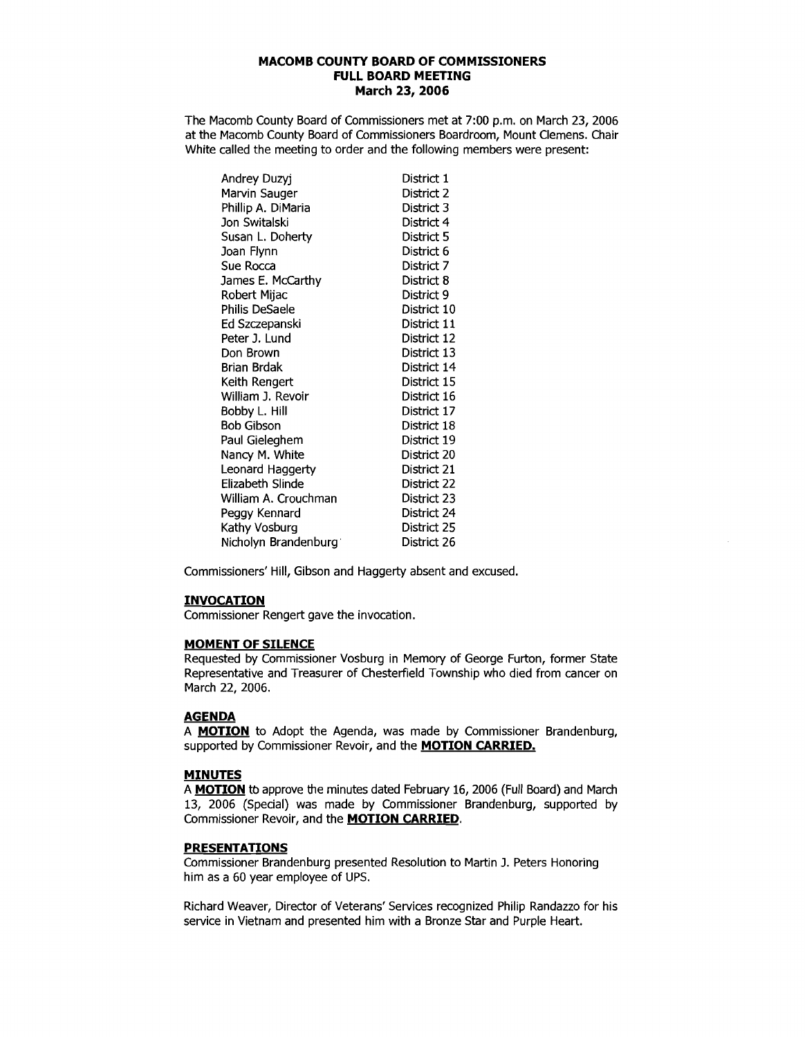The Macomb County Board of Commissioners met at 7:00 p.m. on March 23, 2006 at the Macomb County Board of Commissioners Boardroom, Mount Clemens. Chair White called the meeting to order and the following members were present:

| Andrey Duzyj         | District 1  |
|----------------------|-------------|
| Marvin Sauger        | District 2  |
| Phillip A. DiMaria   | District 3  |
| Jon Switalski        | District 4  |
| Susan L. Doherty     | District 5  |
| Joan Flynn           | District 6  |
| Sue Rocca            | District 7  |
| James E. McCarthy    | District 8  |
| Robert Mijac         | District 9  |
| Philis DeSaele       | District 10 |
| Ed Szczepanski       | District 11 |
| Peter J. Lund        | District 12 |
| Don Brown            | District 13 |
| Brian Brdak          | District 14 |
| Keith Rengert        | District 15 |
| William J. Revoir    | District 16 |
| Bobby L. Hill        | District 17 |
| <b>Bob Gibson</b>    | District 18 |
| Paul Gieleghem       | District 19 |
| Nancy M. White       | District 20 |
| Leonard Haggerty     | District 21 |
| Elizabeth Slinde     | District 22 |
| William A. Crouchman | District 23 |
| Peggy Kennard        | District 24 |
| Kathy Vosburg        | District 25 |
| Nicholyn Brandenburg | District 26 |

Commissioners' Hill, Gibson and Haggerty absent and excused.

## **INVOCATION**

Commissioner Rengert gave the invocation.

### **MOMENT OF SILENCE**

Requested by Commissioner Vosburg in Memory of George Furton, former State Representative and Treasurer of Chesterfield Township who died from cancer on March 22, 2006.

#### **AGENDA**

A **MOTION** to Adopt the Agenda, was made by Commissioner Brandenburg, supported by Commissioner ReVOir, and the **MOTION CARRIED.** 

#### **MINUTES**

A **MOTION** tb approve the minutes dated February 16, 2006 (Full Board) and March 13, 2006 (Special) was made by Commissioner Brandenburg, supported by Commissioner Revoir, and the **MOTION CARRIED.** 

## **PRESENTATIONS**

Commissioner Brandenburg presented Resolution to Martin J. Peters Honoring him as a 60 year employee of UPS.

Richard Weaver, Director of Veterans' Services recognized Philip Randazzo for his service in Vietnam and presented him with a Bronze Star and Purple Heart.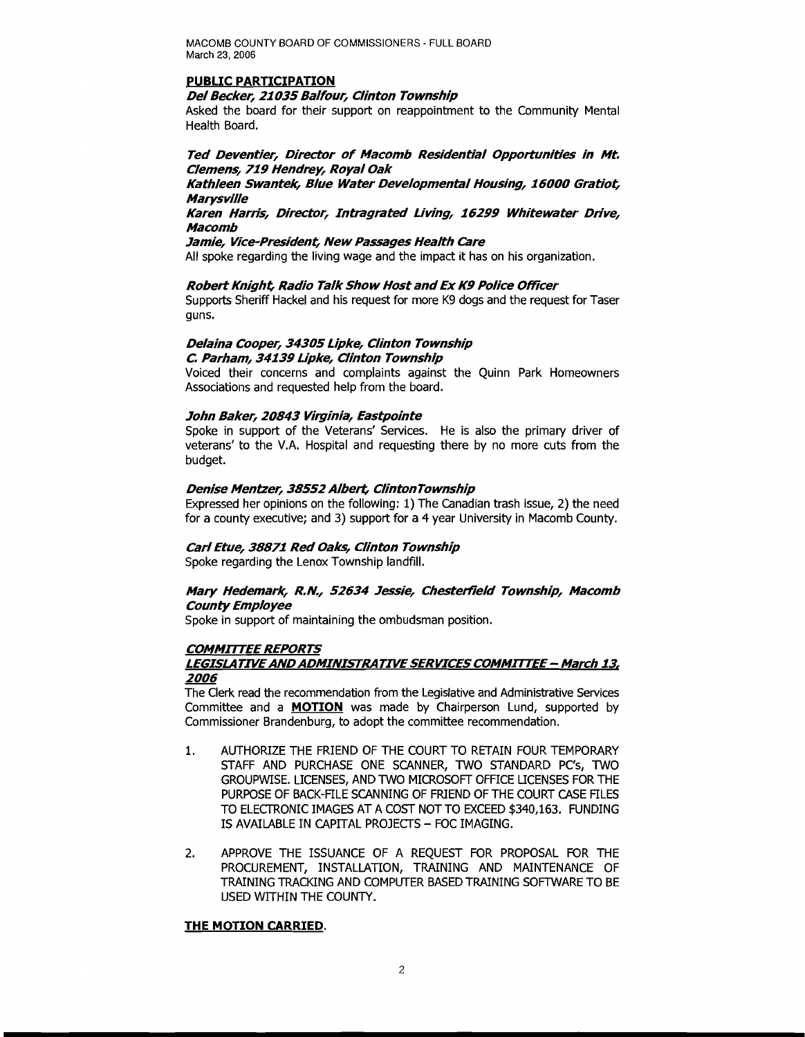#### **PUBLIC PARTICIPATION**

#### **Del Becker,** *21035* **Balfour, Clinton Township**

Asked the board for their support on reappointment to the Community Mental Health Board.

## **Ted Deventier, Director of Macomb Residential Opportunities in Mt. Clemens, 719 Hendrey,** Royal Oak

### **Kathleen Swantek, Blue Water Developmental Housing,** *16000* **Gratiot, Marysville**

### **Karen Harris, Director, Intragrated Living, 16299 Whitewater Drive, Macomb**

#### **Jamie, Vice-President, New Passages Health Care**

All spoke regarding the living wage and the impact it has on his organization.

### **RobertKnight, Radio Talk Show Host andEx K9 Police Officer**

Supports Sheriff Hackel and his request for more K9 dogs and the request for Taser guns.

### **Delaina Cooper,** *34305* **Lipke, Clinton Township C Parham, 34139 Lipke, Clinton Township**

Voiced their concerns and complaints against the Quinn Park Homeowners Associations and requested help from the board.

### **John Baker,** *20843* **Virginia, Eastpointe**

Spoke in support of the Veterans' Services. He is also the primary driver of veterans' to the VA Hospital and requesting there by no more cuts from the budget.

### **Denise Mentzer, 38552 Albert,** ClintonTownship

Expressed her opinions on the following: 1) The canadian trash issue, 2) the need for a county executive; and 3) support for a 4 year University in Macomb County.

### **Carl Etue, 38871 Red Oaks, Clinton Township**

Spoke regarding the Lenox Township landfill.

### **Mary Hedemark, R.N., 52634 Jessie, Chesterfield Township, Macomb County Employee**

Spoke in support of maintaining the ombudsman position.

## **COMMITTEE REPORTS**

### **LEGISLATIVEANDADMINISTRATIVESERVICES COMMITTEE - March** *13, 2006*

The Clerk read the recommendation from the Legislative and Administrative Services Committee and a **MOTION** was made by Chairperson Lund, supported by Commissioner Brandenburg, to adopt the committee recommendation.

- 1. AUTHORIZE THE FRIEND OF THE COURT TO RETAIN FOUR TEMPORARY STAFF AND PURCHASE ONE SCANNER, TWO STANDARD PC's, TWO GROUPWISE. LICENSES, AND TWO MICROSOFT OFFICE LICENSES FOR THE PURPOSE OF BACK-FILE SCANNING OF FRIEND OF THE COURT CASE FILES TO ELECTRONIC IMAGES AT A COST NOT TO EXCEED \$340,163. FUNDING IS AVAILABLE IN CAPITAL PROJECTS - FOC IMAGING.
- 2. APPROVE THE ISSUANCE OF A REQUEST FOR PROPOSAL FOR THE PROCUREMENT, INSTALLATION, TRAINING AND MAINTENANCE OF TRAINING TRACKING AND COMPUTER BASED TRAINING SOFTWARE TO BE USED WITHIN THE COUNTY.

### **THE MOTION CARRIED.**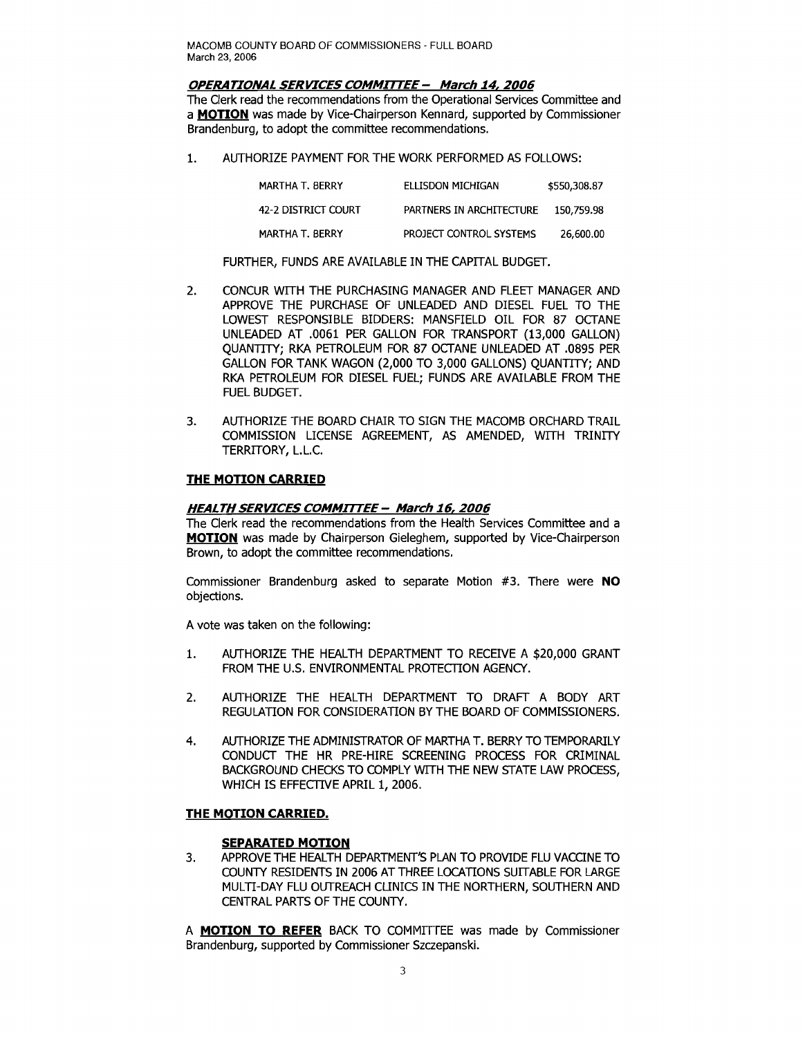#### **OPERATIONAL SERVICES COMMITTEE - March 14, 2006**

The Clerk read the recommendations from the Operational Services Committee and a **MOTION** was made by Vice-Chairperson Kennard, supported by Commissioner Brandenburg, to adopt the committee recommendations.

1. AUTHORIZE PAYMENT FOR THE WORK PERFORMED AS FOLLOWS:

| MARTHA T. BERRY     | ELLISDON MICHIGAN        | \$550,308.87 |
|---------------------|--------------------------|--------------|
| 42-2 DISTRICT COURT | PARTNERS IN ARCHITECTURE | 150.759.98   |
| MARTHA T. BERRY     | PROJECT CONTROL SYSTEMS  | 26,600.00    |

FURTHER, FUNDS ARE AVAILABLE IN THE CAPITAL BUDGET.

- 2. CONCUR WITH THE PURCHASING MANAGER AND FLEET MANAGER AND APPROVE THE PURCHASE OF UNLEADED AND DIESEL FUEL TO THE LOWEST RESPONSIBLE BIDDERS: MANSFIELD OIL FOR 87 OCTANE UNLEADED AT .0061 PER GALLON FOR TRANSPORT (13,000 GALLON) QUANTITY; RKA PETROLEUM FOR 87 OCTANE UNLEADED AT .0895 PER GALLON FOR TANK WAGON (2,000 TO 3,000 GALLONS) QUANTITY; AND RKA PETROLEUM FOR DIESEL FUEL; FUNDS ARE AVAILABLE FROM THE FUEL BUDGET.
- 3. AUTHORIZE THE BOARD CHAIR TO SIGN THE MACOMB ORCHARD TRAIL COMMISSION LICENSE AGREEMENT, AS AMENDED, WITH TRINITY TERRITORY, L.L.c.

### **THE MOTION CARRIED**

## **HEALTH SERVICES COMMITTEE - March 16,2006**

The Clerk read the recommendations from the Health Services Committee and a **MOTION** was made by Chairperson Gieleghem, supported by Vice-Chairperson Brown, to adopt the committee recommendations.

Commissioner Brandenburg asked to separate Motion #3. There were **NO**  objections.

A vote was taken on the following:

- 1. AUTHORIZE THE HEALTH DEPARTMENT TO RECEIVE A \$20,000 GRANT FROM THE U.S. ENVIRONMENTAL PROTECTION AGENCY.
- 2. AUTHORIZE THE HEALTH DEPARTMENT TO DRAFT A BODY ART REGULATION FOR CONSIDERATION BY THE BOARD OF COMMISSIONERS.
- 4. AUTHORIZE THE ADMINISTRATOR OF MARTHA T. BERRY TO TEMPORARILY CONDUCT THE HR PRE-HIRE SCREENING PROCESS FOR CRIMINAL BACKGROUND CHECKS TO COMPLY WITH THE NEW STATE LAW PROCESS, WHICH IS EFFECTIVE APRIL 1, 2006.

### **THE MOTION CARRIED.**

### **SEPARATED MOTION**

3. APPROVE THE HEALTH DEPARTMENT'S PLAN TO PROVIDE FLU VACCINE TO COUNTY RESIDENTS IN 2006 AT THREE LOCATIONS SUITABLE FOR LARGE MULTI-DAY FLU OUTREACH CLINICS IN THE NORTHERN, SOUTHERN AND CENTRAL PARTS OF THE COUNTY.

A **MOTION TO REFER** BACK TO COMMITTEE was made by Commissioner Brandenburg, supported by Commissioner Szczepanski.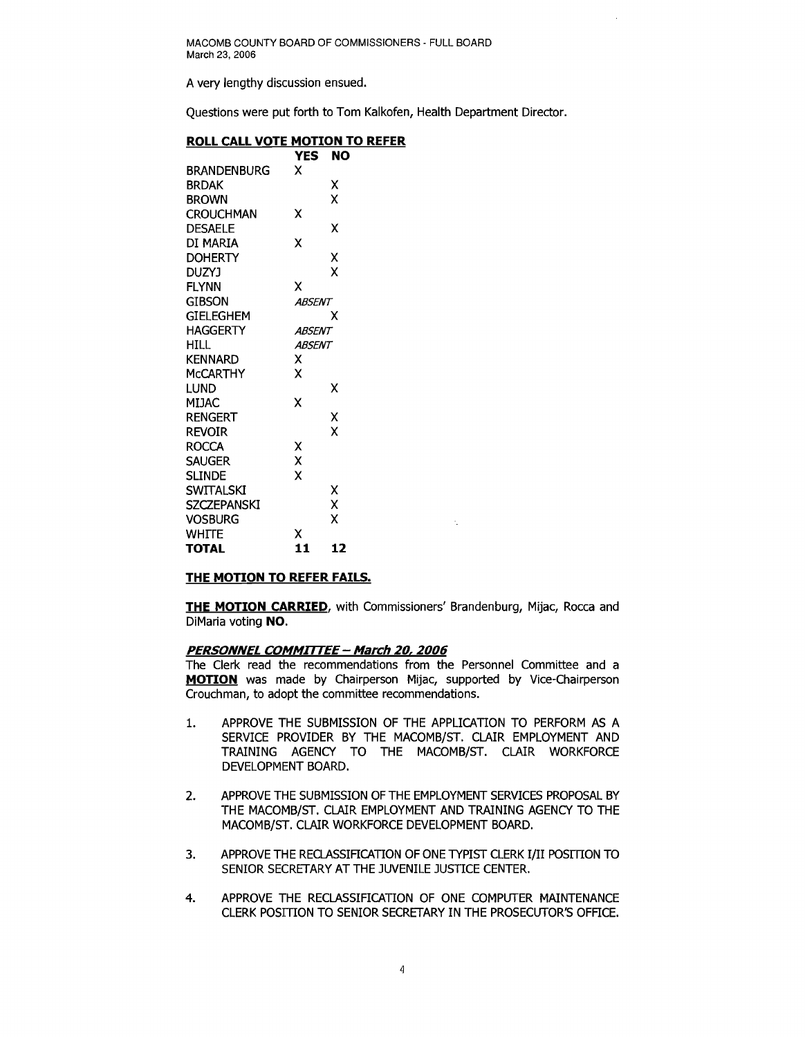A very lengthy discussion ensued.

Questions were put forth to Tom Kalkofen, Health Department Director.

# **ROLL CALL VOTE MOTION TO REFER**

| YES | NO                                                                 |
|-----|--------------------------------------------------------------------|
| x   |                                                                    |
|     | χ                                                                  |
|     | χ                                                                  |
| x   |                                                                    |
|     | χ                                                                  |
| χ   |                                                                    |
|     | χ                                                                  |
|     | χ                                                                  |
| χ   |                                                                    |
|     |                                                                    |
|     | x                                                                  |
|     |                                                                    |
|     |                                                                    |
| x   |                                                                    |
| x   |                                                                    |
|     | x                                                                  |
|     |                                                                    |
|     | Χ                                                                  |
|     | X                                                                  |
|     |                                                                    |
|     |                                                                    |
|     |                                                                    |
|     | χ                                                                  |
|     | X                                                                  |
|     | X                                                                  |
| x   |                                                                    |
|     | 12                                                                 |
|     | <b>ABSENT</b><br>ABSENT<br><b>ABSENT</b><br>χ<br>χ<br>χ<br>X<br>11 |

#### **THE MOTION TO REFER FAILS.**

**THE MOTION CARRIED,** with Commissioners' Brandenburg, Mijac, Rocca and DiMaria voting **NO.** 

#### **PERSONNEL COMMITTEE - March 20,2006**

The Clerk read the recommendations from the Personnel Committee and a **MOTION** was made by Chairperson Mijac, supported by Vice-Chairperson Crouchman, to adopt the committee recommendations.

- 1. APPROVE THE SUBMISSION OF THE APPLICATION TO PERFORM AS A SERVICE PROVIDER BY THE MACOMB/ST. CLAIR EMPLOYMENT AND TRAINING AGENCY TO THE MACOMB/ST. CLAIR WORKFORCE DEVELOPMENT BOARD.
- 2. APPROVE THE SUBMISSION OF THE EMPLOYMENT SERVICES PROPOSAL BY THE MACOMB/ST. CLAIR EMPLOYMENT AND TRAINING AGENCY TO THE MACOMB/ST. CLAIR WORKFORCE DEVELOPMENT BOARD.
- 3. APPROVE THE RECLASSIFICATION OF ONE TYPIST CLERK I/II POSITION TO SENIOR SECRETARY AT THE JUVENILE JUSTICE CENTER.
- 4. APPROVE THE RECLASSIFICATION OF ONE COMPUTER MAINTENANCE CLERK POSITION TO SENIOR SECRETARY IN THE PROSECUTOR'S OFFICE.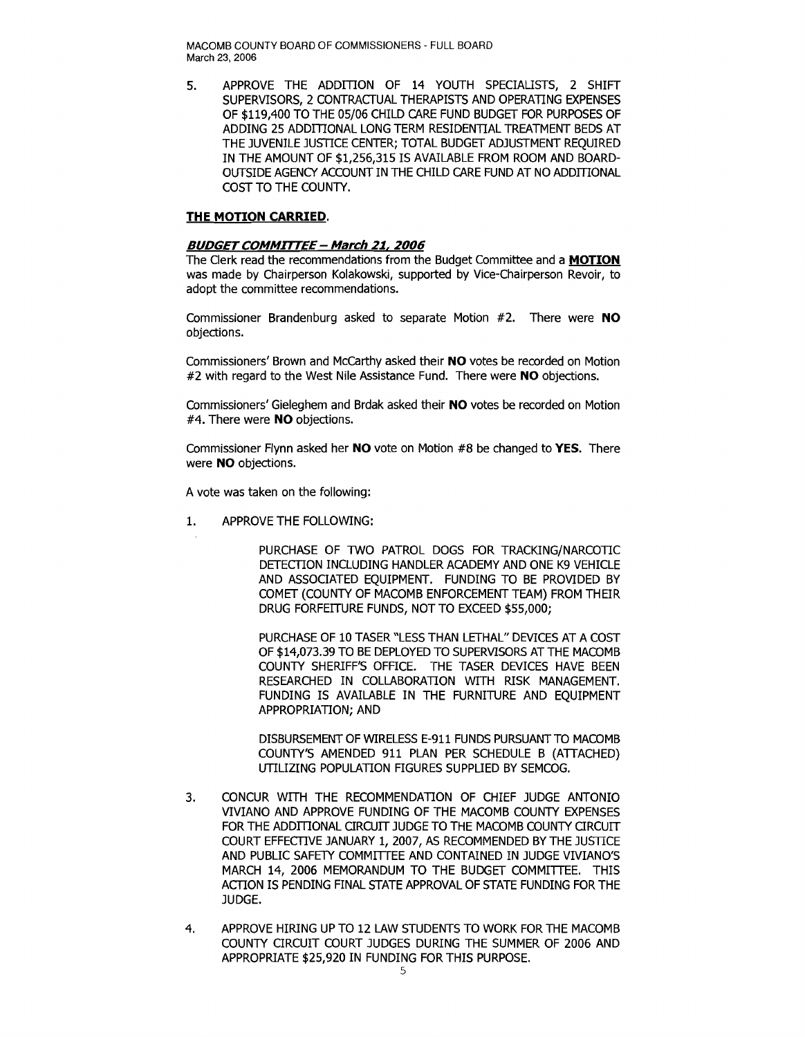5. APPROVE THE ADDITION OF 14 YOUTH SPECIALISTS, 2 SHIFT SUPERVISORS, 2 CONTRACTUAL THERAPISTS AND OPERATING EXPENSES OF \$119,400 TO THE 05/06 CHILD CARE FUND BUDGET FOR PURPOSES OF ADDING 25 ADDITIONAL LONG TERM RESIDENTIAL TREATMENT BEDS AT THE JUVENILE JUSTICE CENTER; TOTAL BUDGET ADJUSTMENT REQUIRED IN THE AMOUNT OF \$1,256,315 IS AVAILABLE FROM ROOM AND BOARD-OUTSIDE AGENCY ACCOUNT IN THE CHILD CARE FUND AT NO ADDITIONAL COST TO THE COUNTY.

## **THE MOTION CARRIED.**

### **BUDGET COMMITTEE - March 21, 2006**

The Clerk read the recommendations from the Budget Committee and a **MOTION**  was made by Chairperson Kolakowski, supported by Vice-Chairperson Revoir, to adopt the committee recommendations.

Commissioner Brandenburg asked to separate Motion #2. There were **NO**  objections.

Commissioners' Brown and McCarthy asked their **NO** votes be recorded on Motion #2 with regard to the West Nile Assistance Fund. There were **NO** objections.

Commissioners' Gieleghem and Brdak asked their **NO** votes be recorded on Motion #4. There were **NO** objections.

Commissioner Flynn asked her **NO** vote on Motion #8 be changed to **YES.** There were **NO** objections.

A vote was taken on the following:

1. APPROVE THE FOLLOWING:

PURCHASE OF TWO PATROL DOGS FOR TRACKING/NARCOTIC DETECfION INCLUDING HANDLER ACADEMY AND ONE K9 VEHICLE AND ASSOCIATED EQUIPMENT. FUNDING TO BE PROVIDED BY COMET (COUNTY OF MACOMB ENFORCEMENT TEAM) FROM THEIR DRUG FORFEITURE FUNDS, NOT TO EXCEED \$55,000;

PURCHASE OF 10 TASER "LESS THAN LETHAL" DEVICES AT A COST OF \$14,073.39 TO BE DEPLOYED TO SUPERVISORS AT THE MACOMB COUNTY SHERIFF'S OFFICE. THE TASER DEVICES HAVE BEEN RESEARCHED IN COLLABORATION WITH RISK MANAGEMENT. FUNDING IS AVAILABLE IN THE FURNITURE AND EQUIPMENT APPROPRIATION; AND

DISBURSEMENT OF WIRELESS E-911 FUNDS PURSUANT TO MACOMB COUNTY'S AMENDED 911 PLAN PER SCHEDULE B (ATTACHED) UTILIZING POPULATION FIGURES SUPPLIED BY SEMCOG.

- 3. CONCUR WITH THE RECOMMENDATION OF CHIEF JUDGE ANTONIO VIVIANO AND APPROVE FUNDING OF THE MACOMB COUNTY EXPENSES FOR THE ADDITIONAL CIRCUIT JUDGE TO THE MACOMB COUNTY CIRCUIT COURT EFFECfIVE JANUARY 1, 2007, AS RECOMMENDED BY THE JUSTICE AND PUBLIC SAFETY COMMITTEE AND CONTAINED IN JUDGE VIVIANO'S MARCH 14, 2006 MEMORANDUM TO THE BUDGET COMMITTEE. THIS ACfION IS PENDING FINAL STATE APPROVAL OF STATE FUNDING FOR THE JUDGE.
- 4. APPROVE HIRING UP TO 12 LAW STUDENTS TO WORK FOR THE MACOMB COUNTY CIRCUIT COURT JUDGES DURING THE SUMMER OF 2006 AND APPROPRIATE \$25,920 IN FUNDING FOR THIS PURPOSE.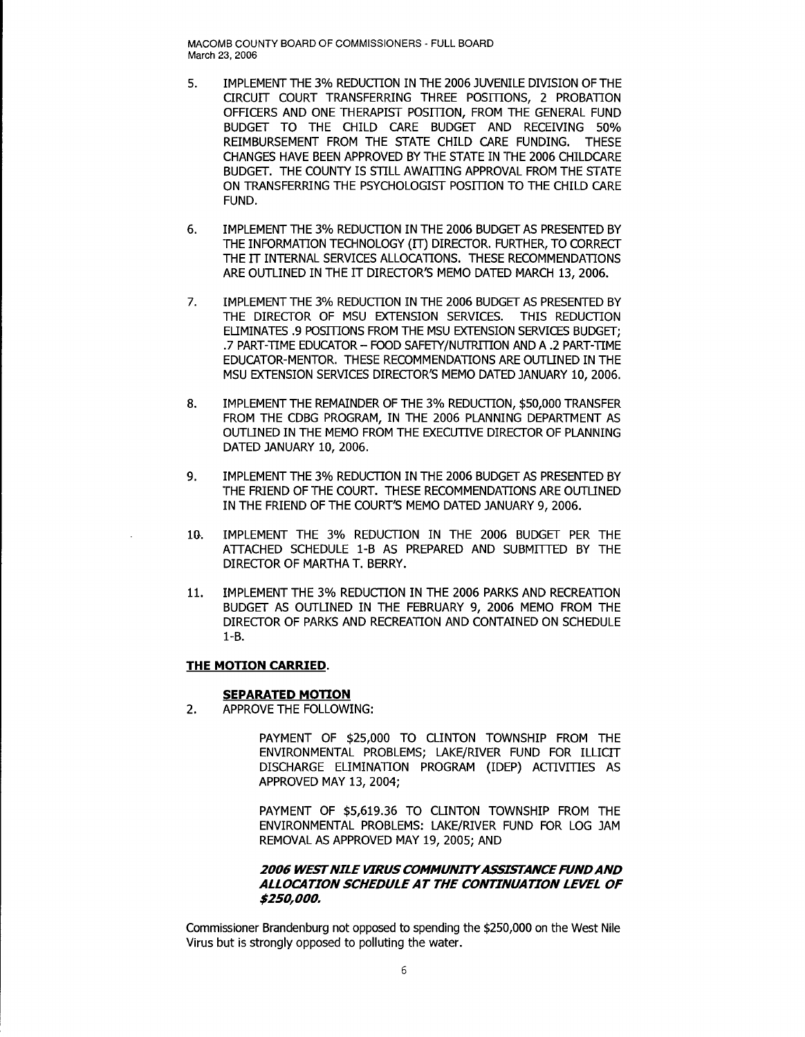- 5. IMPLEMENT THE 3% REDUCTION IN THE 2006 JUVENILE DIVISION OF THE CIRCUIT COURT TRANSFERRING THREE POSITIONS, 2 PROBATION OFFICERS AND ONE THERAPIST POSITION, FROM THE GENERAL FUND BUDGET TO THE CHILD CARE BUDGET AND RECEIVING 50% REIMBURSEMENT FROM THE STATE CHILD CARE FUNDING. THESE CHANGES HAVE BEEN APPROVED BY THE STATE IN THE 2006 CHILDCARE BUDGET. THE COUNTY IS STILL AWAITING APPROVAL FROM THE STATE ON TRANSFERRING THE PSYCHOLOGIST POSITION TO THE CHILD CARE FUND.
- 6. IMPLEMENT THE 3% REDUCTION IN THE 2006 BUDGET AS PRESENTED BY THE INFORMATION TECHNOLOGY (IT) DIRECTOR. FURTHER, TO CORRECT THE IT INTERNAL SERVICES ALLOCATIONS. THESE RECOMMENDATIONS ARE OUTLINED IN THE IT DIRECTOR'S MEMO DATED MARCH 13, 2006.
- 7. IMPLEMENT THE 3% REDUCTION IN THE 2006 BUDGET AS PRESENTED BY THE DIRECTOR OF MSU EXTENSION SERVICES. THIS REDUCTION ELIMINATES .9 POSITIONS FROM THE MSU EXTENSION SERVICES BUDGET: .7 PART-TIME EDUCATOR - FOOD SAFETY/NUTRITION AND A .2 PART-TIME EDUCATOR-MENTOR. THESE RECOMMENDATIONS ARE OUTliNED IN THE MSU EXTENSION SERVICES DIRECTOR'S MEMO DATED JANUARY 10, 2006.
- 8. IMPLEMENT THE REMAINDER OF THE 3% REDUCTION, \$50,000 TRANSFER FROM THE CDBG PROGRAM, IN THE 2006 PLANNING DEPARTMENT AS OUTLINED IN THE MEMO FROM THE EXECUTIVE DIRECTOR OF PLANNING DATED JANUARY 10, 2006.
- 9. IMPLEMENT THE 3% REDUCTION IN THE 2006 BUDGET AS PRESENTED BY THE FRIEND OF THE COURT. THESE RECOMMENDATIONS ARE OUTLINED IN THE FRIEND OF THE COURT'S MEMO DATED JANUARY 9, 2006.
- 10. IMPLEMENT THE 3% REDUCTION IN THE 2006 BUDGET PER THE ATTACHED SCHEDULE 1-B AS PREPARED AND SUBMffiED BY THE DIRECTOR OF MARTHA T. BERRY.
- 11. IMPLEMENT THE 3% REDUCTION IN THE 2006 PARKS AND RECREATION BUDGET AS OUTLINED IN THE FEBRUARY 9, 2006 MEMO FROM THE DIRECTOR OF PARKS AND RECREATION AND CONTAINED ON SCHEDULE 1-B.

### **THE MOTION CARRIED.**

#### **SEPARATED MOTION**

2. APPROVE THE FOLLOWING:

PAYMENT OF \$25,000 TO CLINTON TOWNSHIP FROM THE ENVIRONMENTAL PROBLEMS; LAKE/RIVER FUND FOR ILLICIT DISCHARGE ELIMINATION PROGRAM (IDEP) ACTIVITIES AS APPROVED MAY 13, 2004;

PAYMENT OF \$5,619.36 TO CLINTON TOWNSHIP FROM THE ENVIRONMENTAL PROBLEMS: LAKE/RIVER FUND FOR LOG JAM REMOVAL AS APPROVED MAY 19, 2005; AND

## **2006 WEST NILE VIRUS COMMUNITY ASSISTANCE FUND AND ALLOCATION SCHEDULE AT THE CONTINUATION LEVEL OF \$250,000.**

Commissioner Brandenburg not opposed to spending the \$250,000 on the West Nile Virus but is strongly opposed to polluting the water.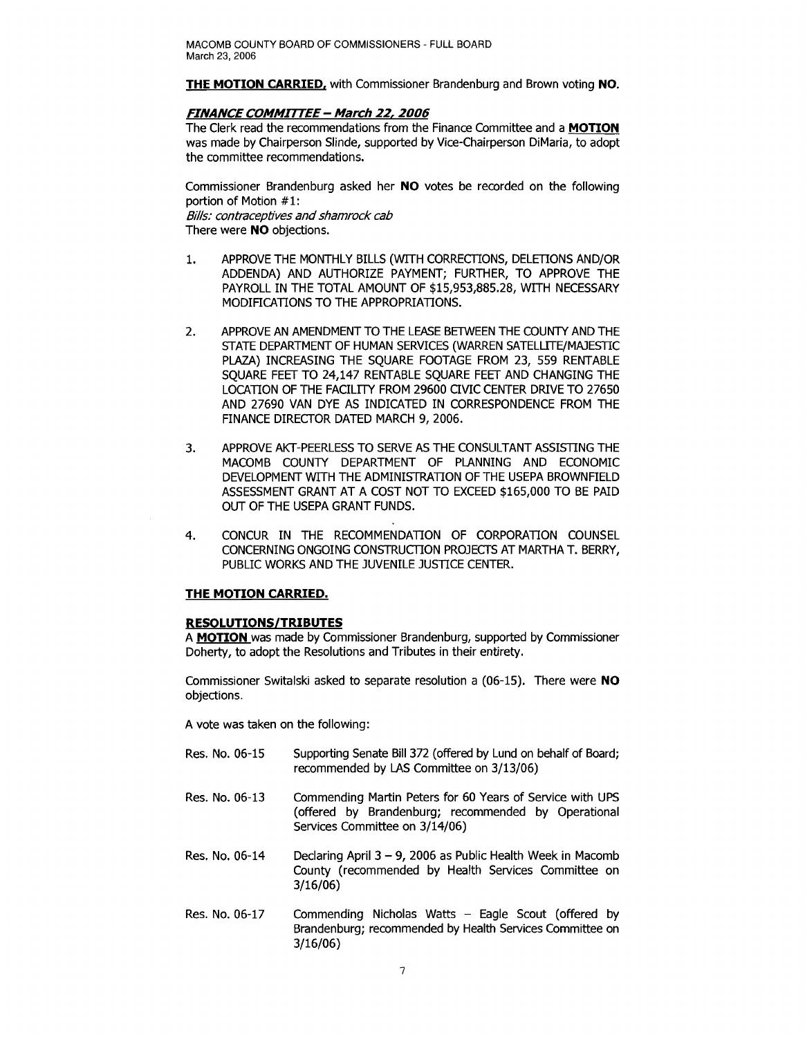**THE MOTION CARRIED.** with Commissioner Brandenburg and Brown voting **NO.** 

### **FINANCE COMMITTEE - March 22,2006**

The Clerk read the recommendations from the Finance Committee and a **MOTION**  was made by Chairperson Slinde, supported by Vice-Chairperson DiMaria, to adopt the committee recommendations.

Commissioner Brandenburg asked her **NO** votes be recorded on the following portion of Motion #1: Bills: contraceptives and shamrock cab There were **NO** objections.

- 1. APPROVE THE MONTHLY BILLS (WITH CORRECTIONS, DELETIONS AND/OR ADDENDA) AND AUTHORIZE PAYMENT; FURTHER, TO APPROVE THE PAYROLL IN THE TOTAL AMOUNT OF \$15,953,885.28, WITH NECESSARY MODIRCATIONS TO THE APPROPRIATIONS.
- 2. APPROVE AN AMENDMENT TO THE LEASE BETWEEN THE COUNTY AND THE STATE DEPARTMENT OF HUMAN SERVICES (WARREN SATELLITE/MAJESTIC PLAZA) INCREASING THE SQUARE FOOTAGE FROM 23, 559 RENTABLE SQUARE FEET TO 24,147 RENTABLE SQUARE FEET AND CHANGING THE LOCATION OF THE FACILITY FROM 29600 CIVIC CENTER DRIVE TO 27650 AND 27690 VAN DYE AS INDICATED IN CORRESPONDENCE FROM THE FINANCE DIRECTOR DATED MARCH 9, 2006.
- 3. APPROVE AKT-PEERLESS TO SERVE AS THE CONSULTANT ASSISTING THE MACOMB COUNTY DEPARTMENT OF PLANNING AND ECONOMIC DEVELOPMENT WITH THE ADMINISTRATION OF THE USEPA BROWNFIELD ASSESSMENT GRANT AT A COST NOT TO EXCEED \$165,000 TO BE PAID OUT OF THE USEPA GRANT FUNDS.
- 4. CONCUR IN THE RECOMMENDATION OF CORPORATION COUNSEL CONCERNING ONGOING CONSTRUCTION PROJECTS AT MARTHA T. BERRY, PUBLIC WORKS AND THE JUVENILE JUSTICE CENTER.

## **THE MOTION CARRIED.**

### **RESOLUTIONS/TRIBUTES**

A **MOTION** was made by Commissioner Brandenburg, supported by Commissioner Doherty, to adopt the Resolutions and Tributes in their entirety.

Commissioner Switalski asked to separate resolution a (06-15). There were **NO**  objections.

A vote was taken on the following:

- Res. No. 06-15 Supporting Senate Bill 372 (offered by Lund on behalf of Board; recommended by LAS Committee on 3/13/06)
- Res. No. 06-13 Commending Martin Peters for 60 Years of Service with UPS (offered by Brandenburg; recommended by Operational Services Committee on 3/14/06)
- Res. No.  $06-14$  Declaring April  $3 9$ , 2006 as Public Health Week in Macomb County (recommended by Health Services Committee on 3/16/06)
- Res. No. 06-17 Commending Nicholas Watts Eagle Scout (offered by Brandenburg; recommended by Health Services Committee on 3/16/06)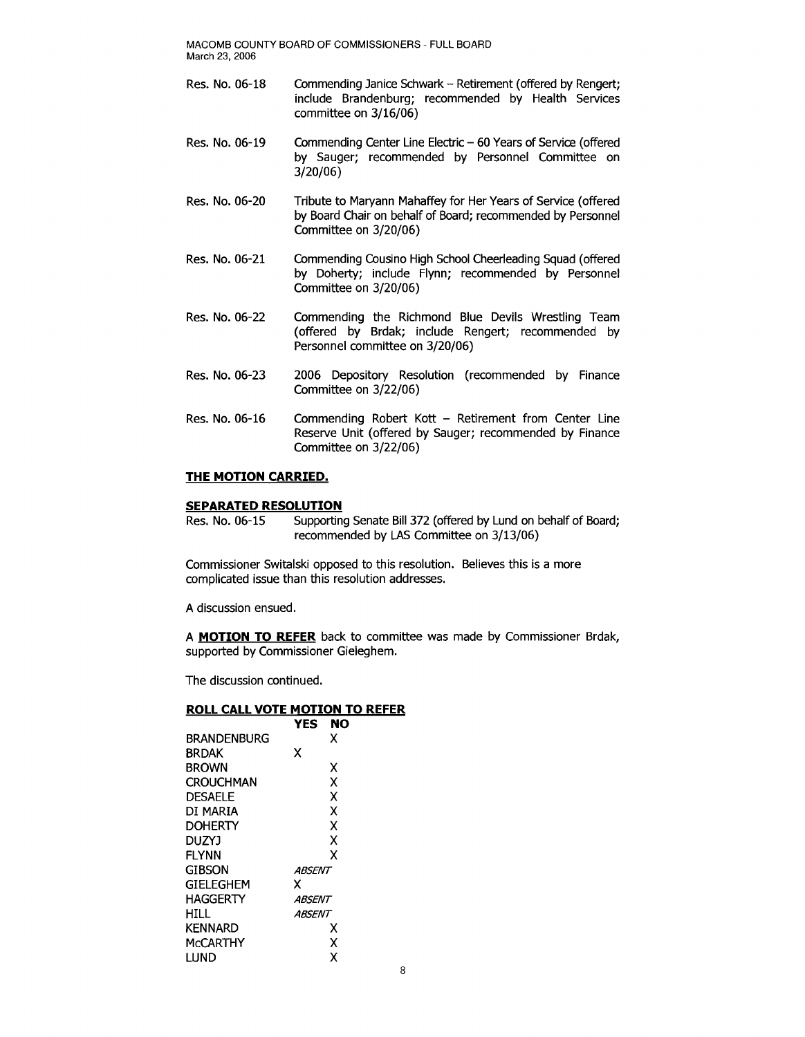- Res. No. 06-18 Commending Janice Schwark Retirement (offered by Rengert; include Brandenburg; recommended by Health Services committee on 3/16/06)
- Res. No. 06-19 Commending Center Line Electric 60 Years of Service (offered by Sauger; recommended by Personnel Committee on 3/20/06)
- Res. No. 06-20 Tribute to Maryann Mahaffey for Her Years of Service (offered by Board Chair on behalf of Board; recommended by Personnel Committee on 3/20/06)
- Res. No. 06-21 Commending Cousino High School Cheerleading Squad (offered by Doherty; include Flynn; recommended by Personnel Committee on 3/20/06)
- Res. No. 06-22 Commending the Richmond Blue Devils Wrestling Team (offered by Brdak; include Rengert; recommended by Personnel committee on 3/20/06)
- Res. No. 06-23 2006 Depository Resolution (recommended by Finance Committee on 3/22/06)
- Res. No. 06-16 Commending Robert Kott Retirement from Center Line Reserve Unit (offered by Sauger; recommended by Finance Committee on 3/22/06)

### **THE MOTION CARRIED.**

## **SEPARATED RESOLUTION**

Res. No. 06-15 Supporting Senate Bill 372 (offered by Lund on behalf of Board; recommended by LAS Committee on 3/13/06)

Commissioner Switalski opposed to this resolution. Believes this is a more complicated issue than this resolution addresses.

A discussion ensued.

A **MOTION TO REFER** back to committee was made by Commissioner Brdak, supported by Commissioner Gieleghem.

The discussion continued.

#### **ROLL CALL VOTE MOTION TO REFER**

|                    | YES<br>NO     |
|--------------------|---------------|
| <b>BRANDENBURG</b> | x             |
| BRDAK              | x             |
| <b>BROWN</b>       | χ             |
| CROUCHMAN          | X             |
| <b>DESAELE</b>     | X             |
| DI MARIA           | X             |
| DOHERTY            | χ             |
| DUZYJ              | X             |
| FLYNN              | x             |
| gibson             | ABSENT        |
| GIELEGHEM          | х             |
| HAGGERTY           | ABSENT        |
| HILL               | <i>ABSENT</i> |
| KENNARD            | х             |
| McCARTHY           | χ             |
| lund               | χ             |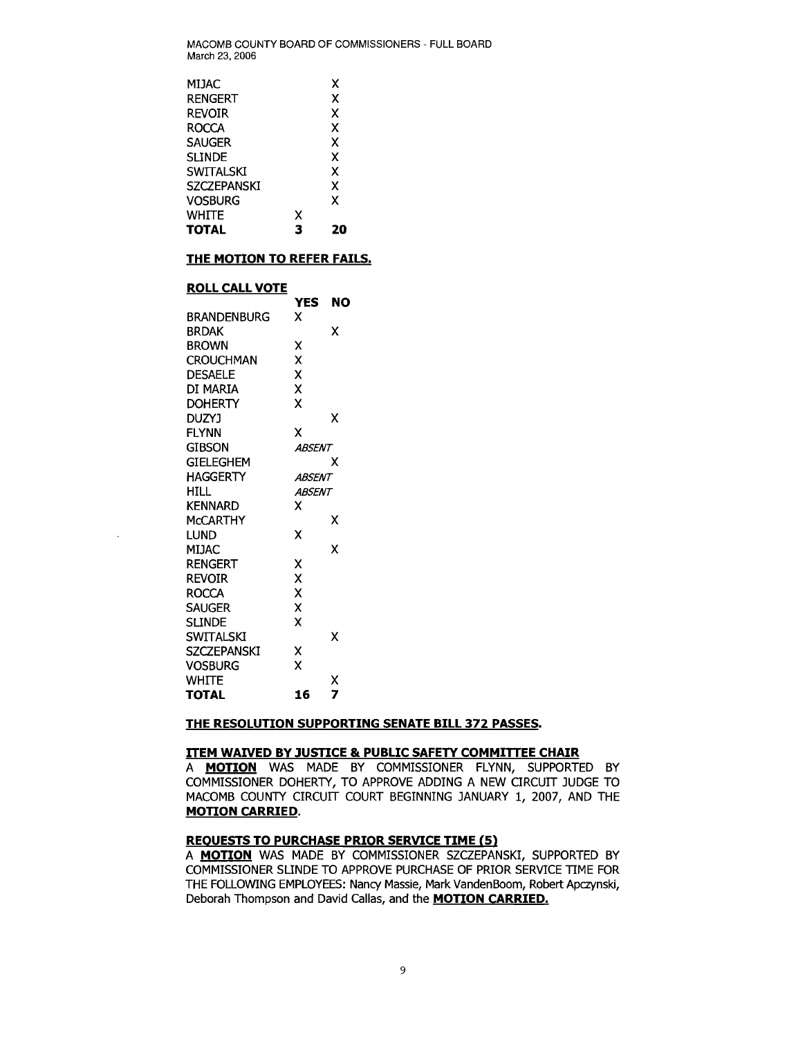| MIJAC              |   | x |
|--------------------|---|---|
| <b>RENGERT</b>     |   | x |
| <b>REVOIR</b>      |   | x |
| <b>ROCCA</b>       |   | x |
| <b>SAUGER</b>      |   | x |
| <b>SLINDE</b>      |   | x |
| <b>SWITALSKI</b>   |   | x |
| <b>SZCZEPANSKI</b> |   | x |
| Vosburg            |   | x |
| WHITE              | x |   |
| TOTAL              | 3 |   |

### **THE MOTION TO REFER FAILS.**

### **ROLL CALL VOTE**

| <u>NULL VALL VUTE</u> |               |    |
|-----------------------|---------------|----|
|                       | <b>YES</b>    | NO |
| <b>BRANDENBURG</b>    | x             |    |
| <b>BRDAK</b>          |               | χ  |
| <b>BROWN</b>          | x             |    |
| <b>CROUCHMAN</b>      | x             |    |
| <b>DESAELE</b>        | X             |    |
| DI MARIA              | X             |    |
| <b>DOHERTY</b>        | X             |    |
| <b>DUZYJ</b>          |               | x  |
| <b>FLYNN</b>          | X             |    |
| GIBSON                | <b>ABSENT</b> |    |
| GIELEGHEM             |               | x  |
| <b>HAGGERTY</b>       | ABSENT        |    |
| HILL.                 | <b>ABSENT</b> |    |
| <b>KENNARD</b>        | x             |    |
| <b>MCCARTHY</b>       |               | χ  |
| LUND                  | χ             |    |
| MIJAC                 |               | x  |
| RENGERT               | X             |    |
| Revoir                | X             |    |
| ROCCA                 | Χ             |    |
| SAUGER                | X             |    |
| SLINDE                | x             |    |
| SWITALSKI             |               | x  |
| SZCZEPANSKI           | x             |    |
| Vosburg               | x             |    |
| WHITE                 |               | χ  |
| TOTAL                 | 16            | 7  |

 $\ddot{\phantom{1}}$ 

### **THE RESOLUTION SUPPORTING SENATE BILL 372 PASSES.**

### **ITEM WAIVED BY JUSTICE & PUBLIC SAFETY COMMITTEE CHAIR**

A **MOTION** WAS MADE BY COMMISSIONER FLYNN, SUPPORTED BY COMMISSIONER DOHERTY, TO APPROVE ADDING A NEW CIRCUIT JUDGE TO MACOMB COUNTY CIRCUIT COURT BEGINNING JANUARY 1, 2007, AND THE **MOTION CARRIED.** 

## **REOUESTS TO PURCHASE PRIOR SERVICE TIME (5)**

A **MOTION** WAS MADE BY COMMISSIONER SZCZEPANSKI, SUPPORTED BY COMMISSIONER SLINDE TO APPROVE PURCHASE OF PRIOR SERVICE TIME FOR THE FOLLOWING EMPLOYEES: Nancy Massie, Mark VandenBoom, Robert Apczynski, Deborah Thompson and David Callas, and the **MOTION CARRIED.**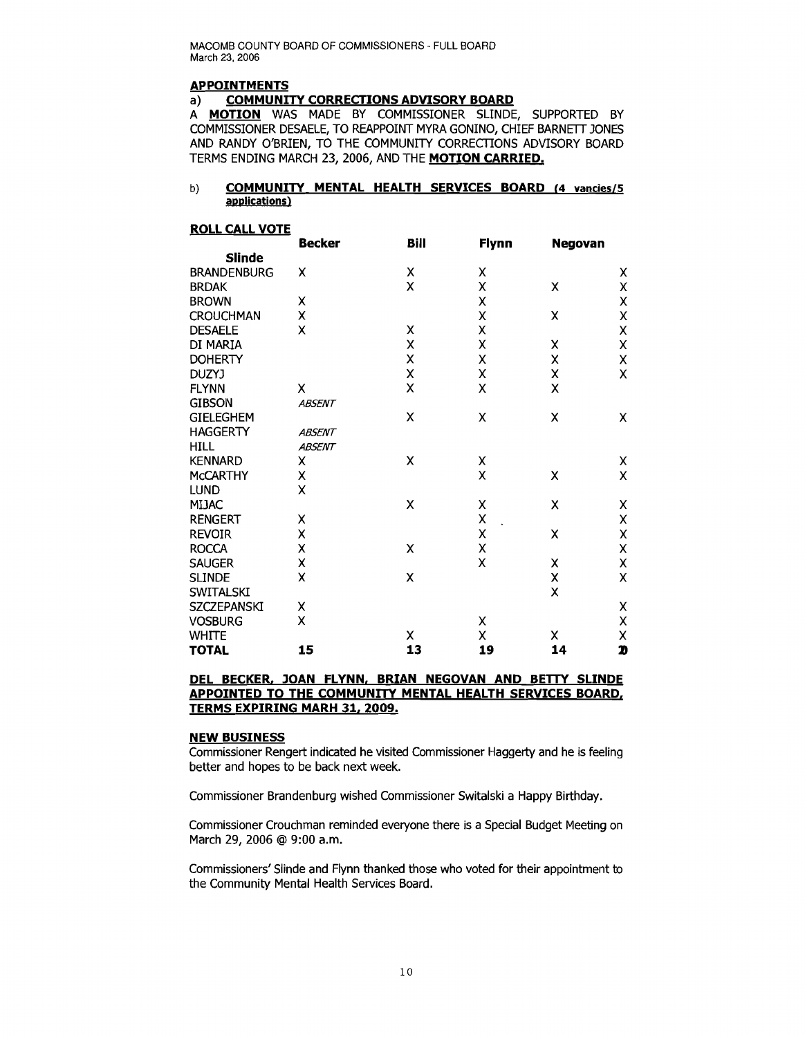## **APPOINTMENTS**

#### a) **COMMUNITY CORRECTIONS ADVISORY BOARD**

A **MOTION** WAS MADE BY COMMISSIONER SLINDE, SUPPORTED BY COMMISSIONER DESAELE, TO REAPPOINT MYRA GONINO, CHIEF BARNETT JONES AND RANDY O'BRIEN, TO THE COMMUNITY CORRECTIONS ADVISORY BOARD TERMS ENDING MARCH 23, 2006, AND THE **MOTION CARRIED.** 

#### b) **COMMUNITY MENTAL HEALTH SERVICES BOARD** (4 vancies/5 **applications)**

#### **ROLL CALL VOTE**

|                    | <b>Becker</b> | Bill | Flynn | <b>Negovan</b> |   |
|--------------------|---------------|------|-------|----------------|---|
| <b>Slinde</b>      |               |      |       |                |   |
| <b>BRANDENBURG</b> | x             | Χ    | Χ     |                | X |
| <b>BRDAK</b>       |               | X    | X     | χ              | χ |
| <b>BROWN</b>       | х             |      | X     |                | Χ |
| <b>CROUCHMAN</b>   | X             |      | X     | χ              | X |
| <b>DESAELE</b>     | X             | Χ    | X     |                | X |
| DI MARIA           |               | X    | X     | χ              | X |
| <b>DOHERTY</b>     |               | X    | X     | Χ              | X |
| DUZYJ              |               | X    | X     | X              | X |
| <b>FLYNN</b>       | X             | X    | X     | X              |   |
| <b>GIBSON</b>      | <b>ABSENT</b> |      |       |                |   |
| <b>GIELEGHEM</b>   |               | X    | X     | Χ              | X |
| <b>HAGGERTY</b>    | <b>ABSENT</b> |      |       |                |   |
| <b>HILL</b>        | <b>ABSENT</b> |      |       |                |   |
| <b>KENNARD</b>     | χ             | X    | Χ     |                | Χ |
| <b>McCARTHY</b>    | Χ             |      | X     | Χ              | X |
| <b>LUND</b>        | x             |      |       |                |   |
| <b>MIJAC</b>       |               | X    | Χ     | Χ              | Χ |
| <b>RENGERT</b>     | χ             |      | X     |                | X |
| <b>REVOIR</b>      | Χ             |      | X     | χ              | X |
| <b>ROCCA</b>       | χ             | Χ    | X     |                | X |
| <b>SAUGER</b>      | Χ             |      | X     | χ              | X |
| <b>SLINDE</b>      | Χ             | Χ    |       | X              | X |
| <b>SWITALSKI</b>   |               |      |       | Χ              |   |
| <b>SZCZEPANSKI</b> | Χ             |      |       |                | Χ |
| <b>VOSBURG</b>     | X             |      | χ     |                | X |
| <b>WHITE</b>       |               | x    | X     | Χ              | X |
| <b>TOTAL</b>       | 15            | 13   | 19    | 14             | D |

### **DEL BECKER, JOAN FLYNN, BRIAN NEGOVAN AND BETTY SLINDE APPOINTED TO THE COMMUNITY MENTAL HEALTH SERVICES BOARD, TERMS EXPIRING MARH 31, 2009.**

#### **NEW BUSINESS**

Commissioner Rengert indicated he visited Commissioner Haggerty and he is feeling better and hopes to be back next week.

Commissioner Brandenburg wished Commissioner Switalski a Happy Birthday.

Commissioner Crouchman reminded everyone there is a Special Budget Meeting on March 29, 2006 @ 9:00 a.m.

Commissioners' Slinde and Flynn thanked those who voted for their appointment to the Community Mental Health Services Board.